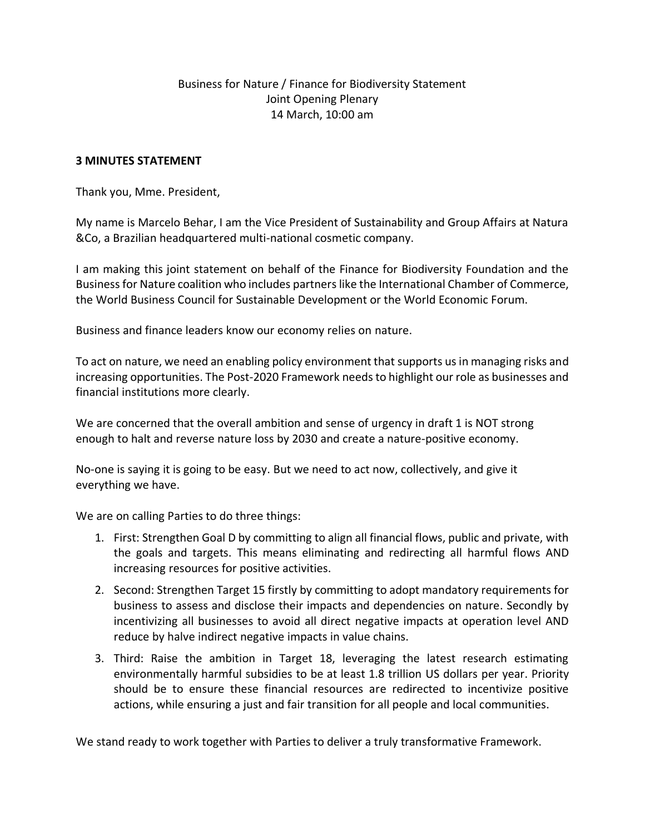## Business for Nature / Finance for Biodiversity Statement Joint Opening Plenary 14 March, 10:00 am

## **3 MINUTES STATEMENT**

Thank you, Mme. President,

My name is Marcelo Behar, I am the Vice President of Sustainability and Group Affairs at Natura &Co, a Brazilian headquartered multi-national cosmetic company.

I am making this joint statement on behalf of the Finance for Biodiversity Foundation and the Business for Nature coalition who includes partners like the International Chamber of Commerce, the World Business Council for Sustainable Development or the World Economic Forum.

Business and finance leaders know our economy relies on nature.

To act on nature, we need an enabling policy environment that supports us in managing risks and increasing opportunities. The Post-2020 Framework needs to highlight our role as businesses and financial institutions more clearly.

We are concerned that the overall ambition and sense of urgency in draft 1 is NOT strong enough to halt and reverse nature loss by 2030 and create a nature-positive economy.

No-one is saying it is going to be easy. But we need to act now, collectively, and give it everything we have.

We are on calling Parties to do three things:

- 1. First: Strengthen Goal D by committing to align all financial flows, public and private, with the goals and targets. This means eliminating and redirecting all harmful flows AND increasing resources for positive activities.
- 2. Second: Strengthen Target 15 firstly by committing to adopt mandatory requirements for business to assess and disclose their impacts and dependencies on nature. Secondly by incentivizing all businesses to avoid all direct negative impacts at operation level AND reduce by halve indirect negative impacts in value chains.
- 3. Third: Raise the ambition in Target 18, leveraging the latest research estimating environmentally harmful subsidies to be at least 1.8 trillion US dollars per year. Priority should be to ensure these financial resources are redirected to incentivize positive actions, while ensuring a just and fair transition for all people and local communities.

We stand ready to work together with Parties to deliver a truly transformative Framework.